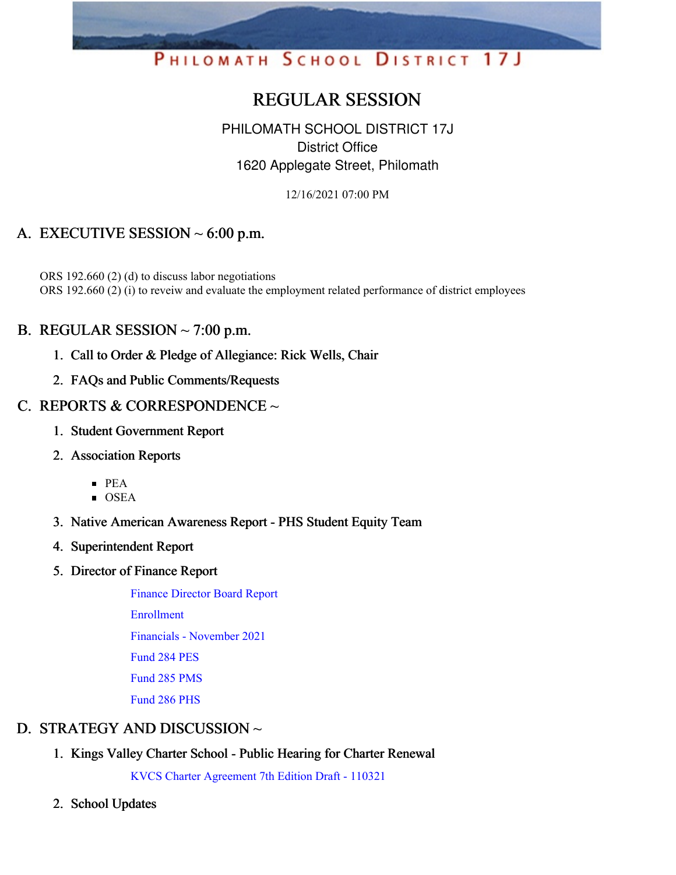# PHILOMATH SCHOOL DISTRICT 17J

# REGULAR SESSION

# PHILOMATH SCHOOL DISTRICT 17J District Office 1620 Applegate Street, Philomath

12/16/2021 07:00 PM

# A. EXECUTIVE SESSION  $\sim$  6:00 p.m.

ORS 192.660 (2) (d) to discuss labor negotiations ORS 192.660 (2) (i) to reveiw and evaluate the employment related performance of district employees

### B. REGULAR SESSION  $\sim$  7:00 p.m.

- 1. Call to Order & Pledge of Allegiance: Rick Wells, Chair
- 2. FAQs and Public Comments/Requests

### C. REPORTS & CORRESPONDENCE  $\sim$

- 1. Student Government Report
- 2. Association Reports
	- $\blacksquare$  PEA
	- OSEA
- 3. Native American Awareness Report PHS Student Equity Team
- 4. Superintendent Report
- 5. Director of Finance Report

Finance [Director](https://app.eduportal.com/documents/view/817661) Board Report

[Enrollment](https://app.eduportal.com/documents/view/817780)

Financials - [November](https://app.eduportal.com/documents/view/817726) 2021

[Fund](https://app.eduportal.com/documents/view/817666) 284 PES

[Fund](https://app.eduportal.com/documents/view/817664) 285 PMS

[Fund](https://app.eduportal.com/documents/view/817676) 286 PHS

# D. STRATEGY AND DISCUSSION ~

1. Kings Valley Charter School - Public Hearing for Charter Renewal

KVCS Charter [Agreement](https://app.eduportal.com/documents/view/817663) 7th Edition Draft - 110321

2. School Updates